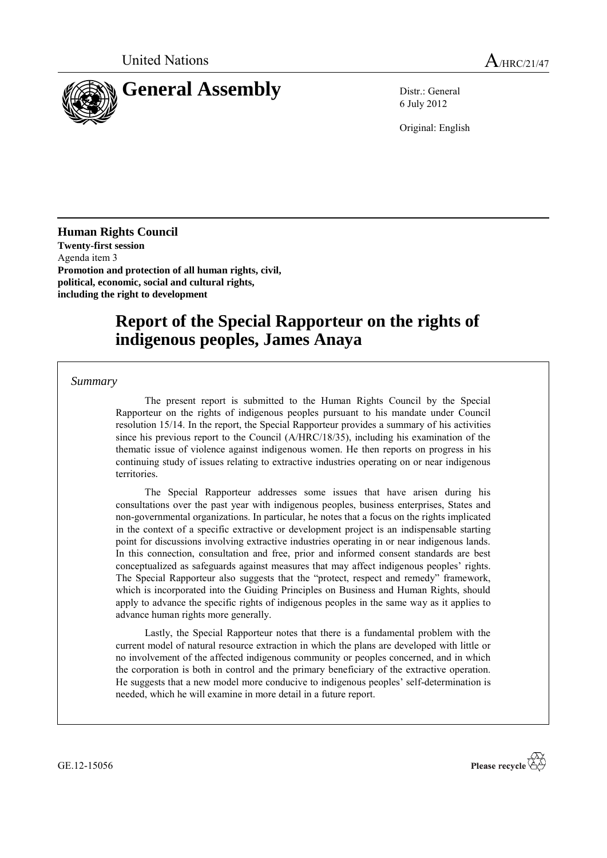

6 July 2012

Original: English

**Human Rights Council Twenty-first session** Agenda item 3 **Promotion and protection of all human rights, civil, political, economic, social and cultural rights, including the right to development**

# **Report of the Special Rapporteur on the rights of indigenous peoples, James Anaya**

# *Summary*

The present report is submitted to the Human Rights Council by the Special Rapporteur on the rights of indigenous peoples pursuant to his mandate under Council resolution 15/14. In the report, the Special Rapporteur provides a summary of his activities since his previous report to the Council (A/HRC/18/35), including his examination of the thematic issue of violence against indigenous women. He then reports on progress in his continuing study of issues relating to extractive industries operating on or near indigenous territories.

The Special Rapporteur addresses some issues that have arisen during his consultations over the past year with indigenous peoples, business enterprises, States and non-governmental organizations. In particular, he notes that a focus on the rights implicated in the context of a specific extractive or development project is an indispensable starting point for discussions involving extractive industries operating in or near indigenous lands. In this connection, consultation and free, prior and informed consent standards are best conceptualized as safeguards against measures that may affect indigenous peoples' rights. The Special Rapporteur also suggests that the "protect, respect and remedy" framework, which is incorporated into the Guiding Principles on Business and Human Rights, should apply to advance the specific rights of indigenous peoples in the same way as it applies to advance human rights more generally.

Lastly, the Special Rapporteur notes that there is a fundamental problem with the current model of natural resource extraction in which the plans are developed with little or no involvement of the affected indigenous community or peoples concerned, and in which the corporation is both in control and the primary beneficiary of the extractive operation. He suggests that a new model more conducive to indigenous peoples' self-determination is needed, which he will examine in more detail in a future report.

GE.12-15056

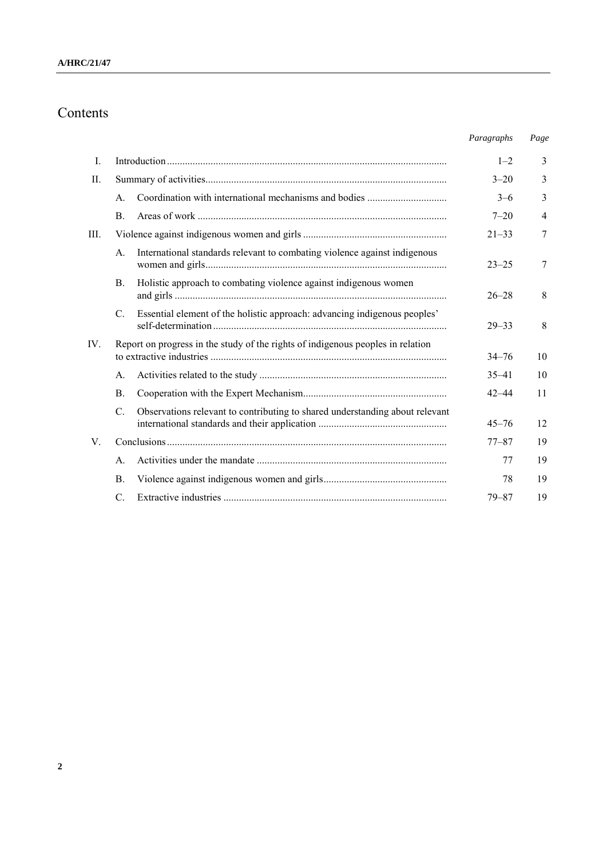# Contents

| Paragraphs | Page |
|------------|------|
|------------|------|

| L           |                                                                                 |                                                                              | $1 - 2$   | 3              |
|-------------|---------------------------------------------------------------------------------|------------------------------------------------------------------------------|-----------|----------------|
| $\Pi$ .     |                                                                                 |                                                                              | $3 - 20$  | 3              |
|             | $A_{\cdot}$                                                                     |                                                                              | $3-6$     | 3              |
|             | $\mathbf{B}$ .                                                                  |                                                                              | $7 - 20$  | $\overline{4}$ |
| Ш.          |                                                                                 |                                                                              | $21 - 33$ | 7              |
|             | A.                                                                              | International standards relevant to combating violence against indigenous    | $23 - 25$ | 7              |
|             | B.                                                                              | Holistic approach to combating violence against indigenous women             | $26 - 28$ | 8              |
|             | $C_{\cdot}$                                                                     | Essential element of the holistic approach: advancing indigenous peoples'    | $29 - 33$ | 8              |
| $IV_{-}$    | Report on progress in the study of the rights of indigenous peoples in relation |                                                                              | $34 - 76$ | 10             |
|             | А.                                                                              |                                                                              | $35 - 41$ | 10             |
|             | <b>B.</b>                                                                       |                                                                              | $42 - 44$ | 11             |
|             | $C_{\cdot}$                                                                     | Observations relevant to contributing to shared understanding about relevant | $45 - 76$ | 12             |
| $V_{\perp}$ |                                                                                 |                                                                              | $77 - 87$ | 19             |
|             | $\mathsf{A}$ .                                                                  |                                                                              | 77        | 19             |
|             | B.                                                                              |                                                                              | 78        | 19             |
|             | $\mathcal{C}$                                                                   |                                                                              | 79–87     | 19             |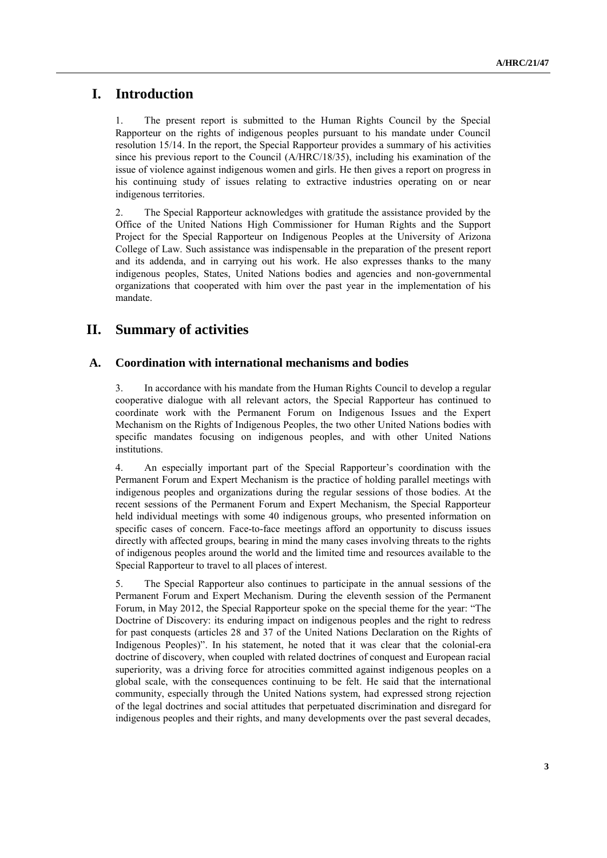# **I. Introduction**

1. The present report is submitted to the Human Rights Council by the Special Rapporteur on the rights of indigenous peoples pursuant to his mandate under Council resolution 15/14. In the report, the Special Rapporteur provides a summary of his activities since his previous report to the Council (A/HRC/18/35), including his examination of the issue of violence against indigenous women and girls. He then gives a report on progress in his continuing study of issues relating to extractive industries operating on or near indigenous territories.

2. The Special Rapporteur acknowledges with gratitude the assistance provided by the Office of the United Nations High Commissioner for Human Rights and the Support Project for the Special Rapporteur on Indigenous Peoples at the University of Arizona College of Law. Such assistance was indispensable in the preparation of the present report and its addenda, and in carrying out his work. He also expresses thanks to the many indigenous peoples, States, United Nations bodies and agencies and non-governmental organizations that cooperated with him over the past year in the implementation of his mandate.

# **II. Summary of activities**

## **A. Coordination with international mechanisms and bodies**

3. In accordance with his mandate from the Human Rights Council to develop a regular cooperative dialogue with all relevant actors, the Special Rapporteur has continued to coordinate work with the Permanent Forum on Indigenous Issues and the Expert Mechanism on the Rights of Indigenous Peoples, the two other United Nations bodies with specific mandates focusing on indigenous peoples, and with other United Nations institutions.

4. An especially important part of the Special Rapporteur's coordination with the Permanent Forum and Expert Mechanism is the practice of holding parallel meetings with indigenous peoples and organizations during the regular sessions of those bodies. At the recent sessions of the Permanent Forum and Expert Mechanism, the Special Rapporteur held individual meetings with some 40 indigenous groups, who presented information on specific cases of concern. Face-to-face meetings afford an opportunity to discuss issues directly with affected groups, bearing in mind the many cases involving threats to the rights of indigenous peoples around the world and the limited time and resources available to the Special Rapporteur to travel to all places of interest.

5. The Special Rapporteur also continues to participate in the annual sessions of the Permanent Forum and Expert Mechanism. During the eleventh session of the Permanent Forum, in May 2012, the Special Rapporteur spoke on the special theme for the year: "The Doctrine of Discovery: its enduring impact on indigenous peoples and the right to redress for past conquests (articles 28 and 37 of the United Nations Declaration on the Rights of Indigenous Peoples)". In his statement, he noted that it was clear that the colonial-era doctrine of discovery, when coupled with related doctrines of conquest and European racial superiority, was a driving force for atrocities committed against indigenous peoples on a global scale, with the consequences continuing to be felt. He said that the international community, especially through the United Nations system, had expressed strong rejection of the legal doctrines and social attitudes that perpetuated discrimination and disregard for indigenous peoples and their rights, and many developments over the past several decades,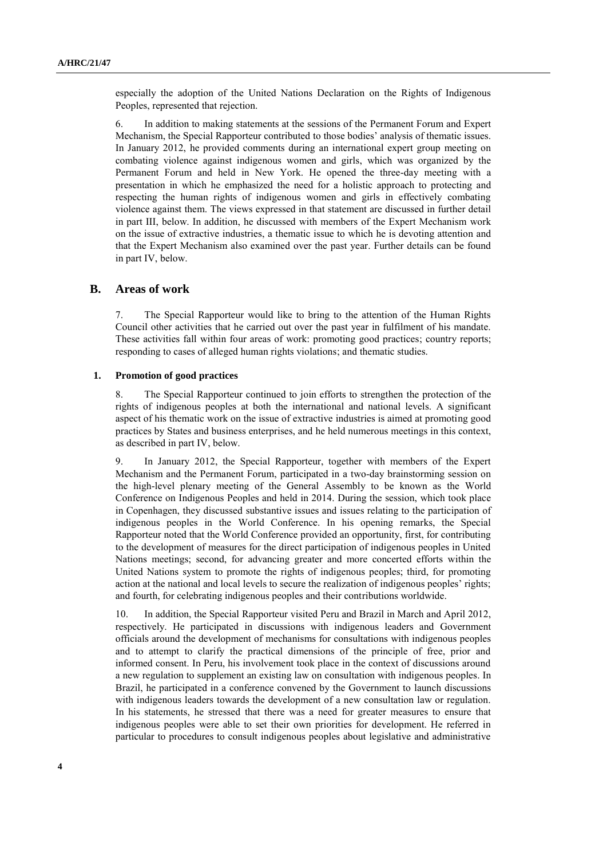especially the adoption of the United Nations Declaration on the Rights of Indigenous Peoples, represented that rejection.

6. In addition to making statements at the sessions of the Permanent Forum and Expert Mechanism, the Special Rapporteur contributed to those bodies' analysis of thematic issues. In January 2012, he provided comments during an international expert group meeting on combating violence against indigenous women and girls, which was organized by the Permanent Forum and held in New York. He opened the three-day meeting with a presentation in which he emphasized the need for a holistic approach to protecting and respecting the human rights of indigenous women and girls in effectively combating violence against them. The views expressed in that statement are discussed in further detail in part III, below. In addition, he discussed with members of the Expert Mechanism work on the issue of extractive industries, a thematic issue to which he is devoting attention and that the Expert Mechanism also examined over the past year. Further details can be found in part IV, below.

## **B. Areas of work**

7. The Special Rapporteur would like to bring to the attention of the Human Rights Council other activities that he carried out over the past year in fulfilment of his mandate. These activities fall within four areas of work: promoting good practices; country reports; responding to cases of alleged human rights violations; and thematic studies.

#### **1. Promotion of good practices**

8. The Special Rapporteur continued to join efforts to strengthen the protection of the rights of indigenous peoples at both the international and national levels. A significant aspect of his thematic work on the issue of extractive industries is aimed at promoting good practices by States and business enterprises, and he held numerous meetings in this context, as described in part IV, below.

9. In January 2012, the Special Rapporteur, together with members of the Expert Mechanism and the Permanent Forum, participated in a two-day brainstorming session on the high-level plenary meeting of the General Assembly to be known as the World Conference on Indigenous Peoples and held in 2014. During the session, which took place in Copenhagen, they discussed substantive issues and issues relating to the participation of indigenous peoples in the World Conference. In his opening remarks, the Special Rapporteur noted that the World Conference provided an opportunity, first, for contributing to the development of measures for the direct participation of indigenous peoples in United Nations meetings; second, for advancing greater and more concerted efforts within the United Nations system to promote the rights of indigenous peoples; third, for promoting action at the national and local levels to secure the realization of indigenous peoples' rights; and fourth, for celebrating indigenous peoples and their contributions worldwide.

10. In addition, the Special Rapporteur visited Peru and Brazil in March and April 2012, respectively. He participated in discussions with indigenous leaders and Government officials around the development of mechanisms for consultations with indigenous peoples and to attempt to clarify the practical dimensions of the principle of free, prior and informed consent. In Peru, his involvement took place in the context of discussions around a new regulation to supplement an existing law on consultation with indigenous peoples. In Brazil, he participated in a conference convened by the Government to launch discussions with indigenous leaders towards the development of a new consultation law or regulation. In his statements, he stressed that there was a need for greater measures to ensure that indigenous peoples were able to set their own priorities for development. He referred in particular to procedures to consult indigenous peoples about legislative and administrative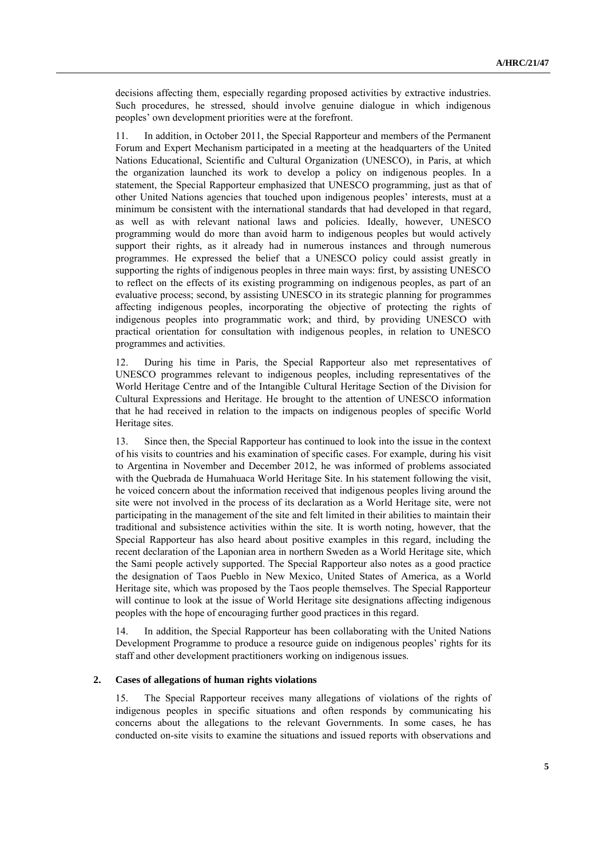decisions affecting them, especially regarding proposed activities by extractive industries. Such procedures, he stressed, should involve genuine dialogue in which indigenous peoples' own development priorities were at the forefront.

11. In addition, in October 2011, the Special Rapporteur and members of the Permanent Forum and Expert Mechanism participated in a meeting at the headquarters of the United Nations Educational, Scientific and Cultural Organization (UNESCO), in Paris, at which the organization launched its work to develop a policy on indigenous peoples. In a statement, the Special Rapporteur emphasized that UNESCO programming, just as that of other United Nations agencies that touched upon indigenous peoples' interests, must at a minimum be consistent with the international standards that had developed in that regard, as well as with relevant national laws and policies. Ideally, however, UNESCO programming would do more than avoid harm to indigenous peoples but would actively support their rights, as it already had in numerous instances and through numerous programmes. He expressed the belief that a UNESCO policy could assist greatly in supporting the rights of indigenous peoples in three main ways: first, by assisting UNESCO to reflect on the effects of its existing programming on indigenous peoples, as part of an evaluative process; second, by assisting UNESCO in its strategic planning for programmes affecting indigenous peoples, incorporating the objective of protecting the rights of indigenous peoples into programmatic work; and third, by providing UNESCO with practical orientation for consultation with indigenous peoples, in relation to UNESCO programmes and activities.

12. During his time in Paris, the Special Rapporteur also met representatives of UNESCO programmes relevant to indigenous peoples, including representatives of the World Heritage Centre and of the Intangible Cultural Heritage Section of the Division for Cultural Expressions and Heritage. He brought to the attention of UNESCO information that he had received in relation to the impacts on indigenous peoples of specific World Heritage sites.

13. Since then, the Special Rapporteur has continued to look into the issue in the context of his visits to countries and his examination of specific cases. For example, during his visit to Argentina in November and December 2012, he was informed of problems associated with the Quebrada de Humahuaca World Heritage Site. In his statement following the visit, he voiced concern about the information received that indigenous peoples living around the site were not involved in the process of its declaration as a World Heritage site, were not participating in the management of the site and felt limited in their abilities to maintain their traditional and subsistence activities within the site. It is worth noting, however, that the Special Rapporteur has also heard about positive examples in this regard, including the recent declaration of the Laponian area in northern Sweden as a World Heritage site, which the Sami people actively supported. The Special Rapporteur also notes as a good practice the designation of Taos Pueblo in New Mexico, United States of America, as a World Heritage site, which was proposed by the Taos people themselves. The Special Rapporteur will continue to look at the issue of World Heritage site designations affecting indigenous peoples with the hope of encouraging further good practices in this regard.

14. In addition, the Special Rapporteur has been collaborating with the United Nations Development Programme to produce a resource guide on indigenous peoples' rights for its staff and other development practitioners working on indigenous issues.

#### **2. Cases of allegations of human rights violations**

15. The Special Rapporteur receives many allegations of violations of the rights of indigenous peoples in specific situations and often responds by communicating his concerns about the allegations to the relevant Governments. In some cases, he has conducted on-site visits to examine the situations and issued reports with observations and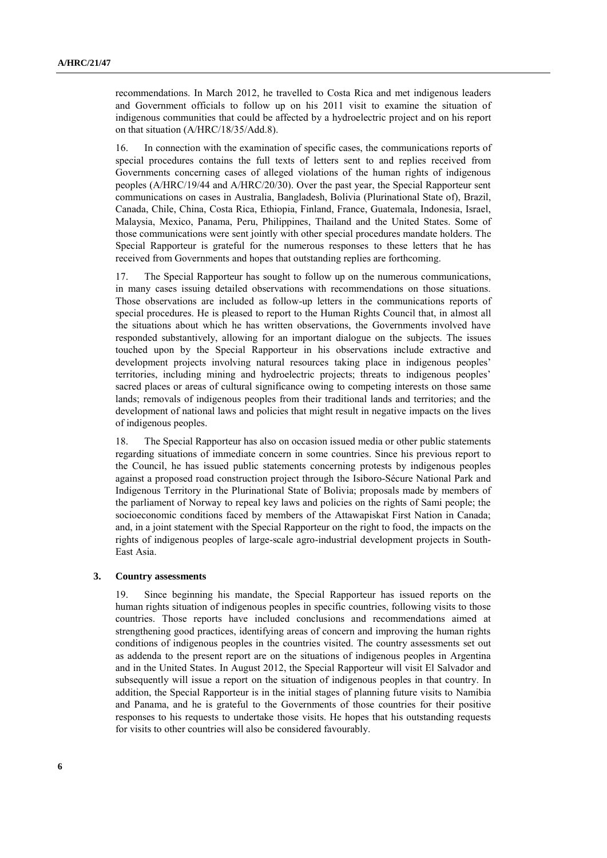recommendations. In March 2012, he travelled to Costa Rica and met indigenous leaders and Government officials to follow up on his 2011 visit to examine the situation of indigenous communities that could be affected by a hydroelectric project and on his report on that situation (A/HRC/18/35/Add.8).

16. In connection with the examination of specific cases, the communications reports of special procedures contains the full texts of letters sent to and replies received from Governments concerning cases of alleged violations of the human rights of indigenous peoples (A/HRC/19/44 and A/HRC/20/30). Over the past year, the Special Rapporteur sent communications on cases in Australia, Bangladesh, Bolivia (Plurinational State of), Brazil, Canada, Chile, China, Costa Rica, Ethiopia, Finland, France, Guatemala, Indonesia, Israel, Malaysia, Mexico, Panama, Peru, Philippines, Thailand and the United States. Some of those communications were sent jointly with other special procedures mandate holders. The Special Rapporteur is grateful for the numerous responses to these letters that he has received from Governments and hopes that outstanding replies are forthcoming.

17. The Special Rapporteur has sought to follow up on the numerous communications, in many cases issuing detailed observations with recommendations on those situations. Those observations are included as follow-up letters in the communications reports of special procedures. He is pleased to report to the Human Rights Council that, in almost all the situations about which he has written observations, the Governments involved have responded substantively, allowing for an important dialogue on the subjects. The issues touched upon by the Special Rapporteur in his observations include extractive and development projects involving natural resources taking place in indigenous peoples' territories, including mining and hydroelectric projects; threats to indigenous peoples' sacred places or areas of cultural significance owing to competing interests on those same lands; removals of indigenous peoples from their traditional lands and territories; and the development of national laws and policies that might result in negative impacts on the lives of indigenous peoples.

18. The Special Rapporteur has also on occasion issued media or other public statements regarding situations of immediate concern in some countries. Since his previous report to the Council, he has issued public statements concerning protests by indigenous peoples against a proposed road construction project through the Isiboro-Sécure National Park and Indigenous Territory in the Plurinational State of Bolivia; proposals made by members of the parliament of Norway to repeal key laws and policies on the rights of Sami people; the socioeconomic conditions faced by members of the Attawapiskat First Nation in Canada; and, in a joint statement with the Special Rapporteur on the right to food, the impacts on the rights of indigenous peoples of large-scale agro-industrial development projects in South-East Asia.

#### **3. Country assessments**

19. Since beginning his mandate, the Special Rapporteur has issued reports on the human rights situation of indigenous peoples in specific countries, following visits to those countries. Those reports have included conclusions and recommendations aimed at strengthening good practices, identifying areas of concern and improving the human rights conditions of indigenous peoples in the countries visited. The country assessments set out as addenda to the present report are on the situations of indigenous peoples in Argentina and in the United States. In August 2012, the Special Rapporteur will visit El Salvador and subsequently will issue a report on the situation of indigenous peoples in that country. In addition, the Special Rapporteur is in the initial stages of planning future visits to Namibia and Panama, and he is grateful to the Governments of those countries for their positive responses to his requests to undertake those visits. He hopes that his outstanding requests for visits to other countries will also be considered favourably.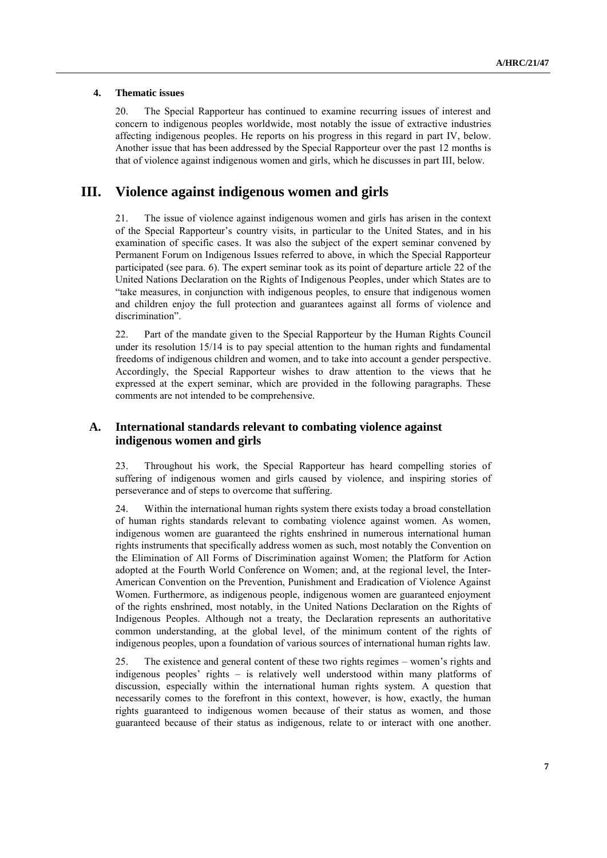#### **4. Thematic issues**

20. The Special Rapporteur has continued to examine recurring issues of interest and concern to indigenous peoples worldwide, most notably the issue of extractive industries affecting indigenous peoples. He reports on his progress in this regard in part IV, below. Another issue that has been addressed by the Special Rapporteur over the past 12 months is that of violence against indigenous women and girls, which he discusses in part III, below.

# **III. Violence against indigenous women and girls**

21. The issue of violence against indigenous women and girls has arisen in the context of the Special Rapporteur's country visits, in particular to the United States, and in his examination of specific cases. It was also the subject of the expert seminar convened by Permanent Forum on Indigenous Issues referred to above, in which the Special Rapporteur participated (see para. 6). The expert seminar took as its point of departure article 22 of the United Nations Declaration on the Rights of Indigenous Peoples, under which States are to "take measures, in conjunction with indigenous peoples, to ensure that indigenous women and children enjoy the full protection and guarantees against all forms of violence and discrimination".

22. Part of the mandate given to the Special Rapporteur by the Human Rights Council under its resolution 15/14 is to pay special attention to the human rights and fundamental freedoms of indigenous children and women, and to take into account a gender perspective. Accordingly, the Special Rapporteur wishes to draw attention to the views that he expressed at the expert seminar, which are provided in the following paragraphs. These comments are not intended to be comprehensive.

# **A. International standards relevant to combating violence against indigenous women and girls**

23. Throughout his work, the Special Rapporteur has heard compelling stories of suffering of indigenous women and girls caused by violence, and inspiring stories of perseverance and of steps to overcome that suffering.

24. Within the international human rights system there exists today a broad constellation of human rights standards relevant to combating violence against women. As women, indigenous women are guaranteed the rights enshrined in numerous international human rights instruments that specifically address women as such, most notably the Convention on the Elimination of All Forms of Discrimination against Women; the Platform for Action adopted at the Fourth World Conference on Women; and, at the regional level, the Inter-American Convention on the Prevention, Punishment and Eradication of Violence Against Women. Furthermore, as indigenous people, indigenous women are guaranteed enjoyment of the rights enshrined, most notably, in the United Nations Declaration on the Rights of Indigenous Peoples. Although not a treaty, the Declaration represents an authoritative common understanding, at the global level, of the minimum content of the rights of indigenous peoples, upon a foundation of various sources of international human rights law.

25. The existence and general content of these two rights regimes – women's rights and indigenous peoples' rights – is relatively well understood within many platforms of discussion, especially within the international human rights system. A question that necessarily comes to the forefront in this context, however, is how, exactly, the human rights guaranteed to indigenous women because of their status as women, and those guaranteed because of their status as indigenous, relate to or interact with one another.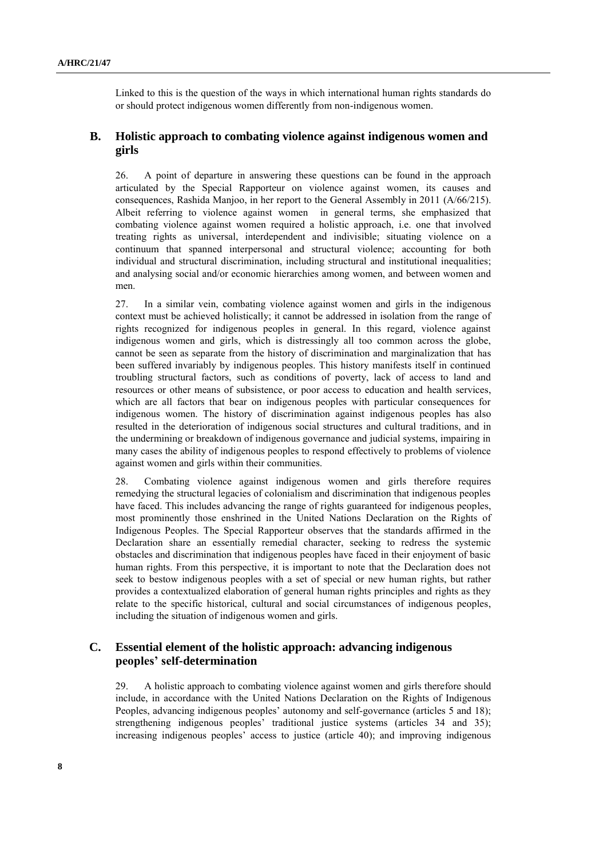Linked to this is the question of the ways in which international human rights standards do or should protect indigenous women differently from non-indigenous women.

# **B. Holistic approach to combating violence against indigenous women and girls**

26. A point of departure in answering these questions can be found in the approach articulated by the Special Rapporteur on violence against women, its causes and consequences, Rashida Manjoo, in her report to the General Assembly in 2011 (A/66/215). Albeit referring to violence against women in general terms, she emphasized that combating violence against women required a holistic approach, i.e. one that involved treating rights as universal, interdependent and indivisible; situating violence on a continuum that spanned interpersonal and structural violence; accounting for both individual and structural discrimination, including structural and institutional inequalities; and analysing social and/or economic hierarchies among women, and between women and men.

27. In a similar vein, combating violence against women and girls in the indigenous context must be achieved holistically; it cannot be addressed in isolation from the range of rights recognized for indigenous peoples in general. In this regard, violence against indigenous women and girls, which is distressingly all too common across the globe, cannot be seen as separate from the history of discrimination and marginalization that has been suffered invariably by indigenous peoples. This history manifests itself in continued troubling structural factors, such as conditions of poverty, lack of access to land and resources or other means of subsistence, or poor access to education and health services, which are all factors that bear on indigenous peoples with particular consequences for indigenous women. The history of discrimination against indigenous peoples has also resulted in the deterioration of indigenous social structures and cultural traditions, and in the undermining or breakdown of indigenous governance and judicial systems, impairing in many cases the ability of indigenous peoples to respond effectively to problems of violence against women and girls within their communities.

28. Combating violence against indigenous women and girls therefore requires remedying the structural legacies of colonialism and discrimination that indigenous peoples have faced. This includes advancing the range of rights guaranteed for indigenous peoples, most prominently those enshrined in the United Nations Declaration on the Rights of Indigenous Peoples. The Special Rapporteur observes that the standards affirmed in the Declaration share an essentially remedial character, seeking to redress the systemic obstacles and discrimination that indigenous peoples have faced in their enjoyment of basic human rights. From this perspective, it is important to note that the Declaration does not seek to bestow indigenous peoples with a set of special or new human rights, but rather provides a contextualized elaboration of general human rights principles and rights as they relate to the specific historical, cultural and social circumstances of indigenous peoples, including the situation of indigenous women and girls.

# **C. Essential element of the holistic approach: advancing indigenous peoples' self-determination**

29. A holistic approach to combating violence against women and girls therefore should include, in accordance with the United Nations Declaration on the Rights of Indigenous Peoples, advancing indigenous peoples' autonomy and self-governance (articles 5 and 18); strengthening indigenous peoples' traditional justice systems (articles 34 and 35); increasing indigenous peoples' access to justice (article 40); and improving indigenous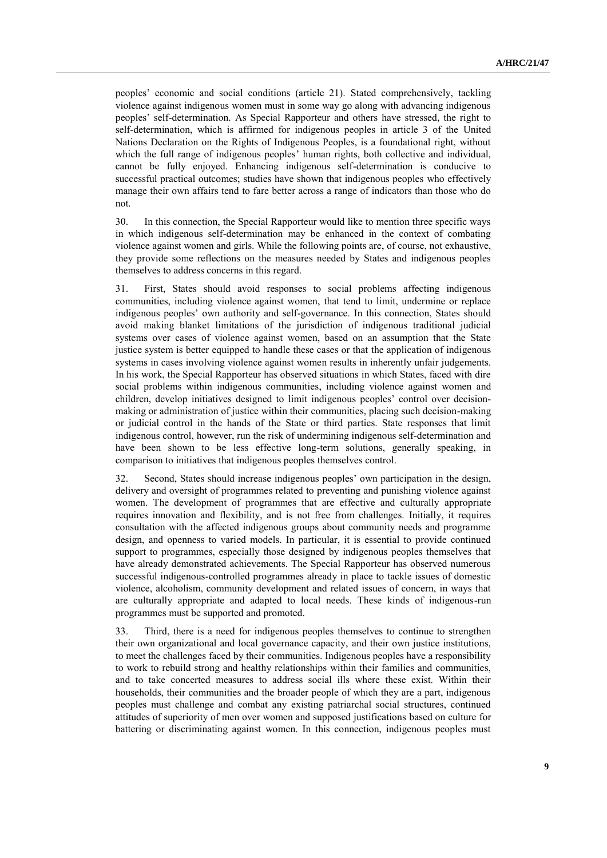peoples' economic and social conditions (article 21). Stated comprehensively, tackling violence against indigenous women must in some way go along with advancing indigenous peoples' self-determination. As Special Rapporteur and others have stressed, the right to self-determination, which is affirmed for indigenous peoples in article 3 of the United Nations Declaration on the Rights of Indigenous Peoples, is a foundational right, without which the full range of indigenous peoples' human rights, both collective and individual, cannot be fully enjoyed. Enhancing indigenous self-determination is conducive to successful practical outcomes; studies have shown that indigenous peoples who effectively manage their own affairs tend to fare better across a range of indicators than those who do not.

30. In this connection, the Special Rapporteur would like to mention three specific ways in which indigenous self-determination may be enhanced in the context of combating violence against women and girls. While the following points are, of course, not exhaustive, they provide some reflections on the measures needed by States and indigenous peoples themselves to address concerns in this regard.

31. First, States should avoid responses to social problems affecting indigenous communities, including violence against women, that tend to limit, undermine or replace indigenous peoples' own authority and self-governance. In this connection, States should avoid making blanket limitations of the jurisdiction of indigenous traditional judicial systems over cases of violence against women, based on an assumption that the State justice system is better equipped to handle these cases or that the application of indigenous systems in cases involving violence against women results in inherently unfair judgements. In his work, the Special Rapporteur has observed situations in which States, faced with dire social problems within indigenous communities, including violence against women and children, develop initiatives designed to limit indigenous peoples' control over decisionmaking or administration of justice within their communities, placing such decision-making or judicial control in the hands of the State or third parties. State responses that limit indigenous control, however, run the risk of undermining indigenous self-determination and have been shown to be less effective long-term solutions, generally speaking, in comparison to initiatives that indigenous peoples themselves control.

32. Second, States should increase indigenous peoples' own participation in the design, delivery and oversight of programmes related to preventing and punishing violence against women. The development of programmes that are effective and culturally appropriate requires innovation and flexibility, and is not free from challenges. Initially, it requires consultation with the affected indigenous groups about community needs and programme design, and openness to varied models. In particular, it is essential to provide continued support to programmes, especially those designed by indigenous peoples themselves that have already demonstrated achievements. The Special Rapporteur has observed numerous successful indigenous-controlled programmes already in place to tackle issues of domestic violence, alcoholism, community development and related issues of concern, in ways that are culturally appropriate and adapted to local needs. These kinds of indigenous-run programmes must be supported and promoted.

33. Third, there is a need for indigenous peoples themselves to continue to strengthen their own organizational and local governance capacity, and their own justice institutions, to meet the challenges faced by their communities. Indigenous peoples have a responsibility to work to rebuild strong and healthy relationships within their families and communities, and to take concerted measures to address social ills where these exist. Within their households, their communities and the broader people of which they are a part, indigenous peoples must challenge and combat any existing patriarchal social structures, continued attitudes of superiority of men over women and supposed justifications based on culture for battering or discriminating against women. In this connection, indigenous peoples must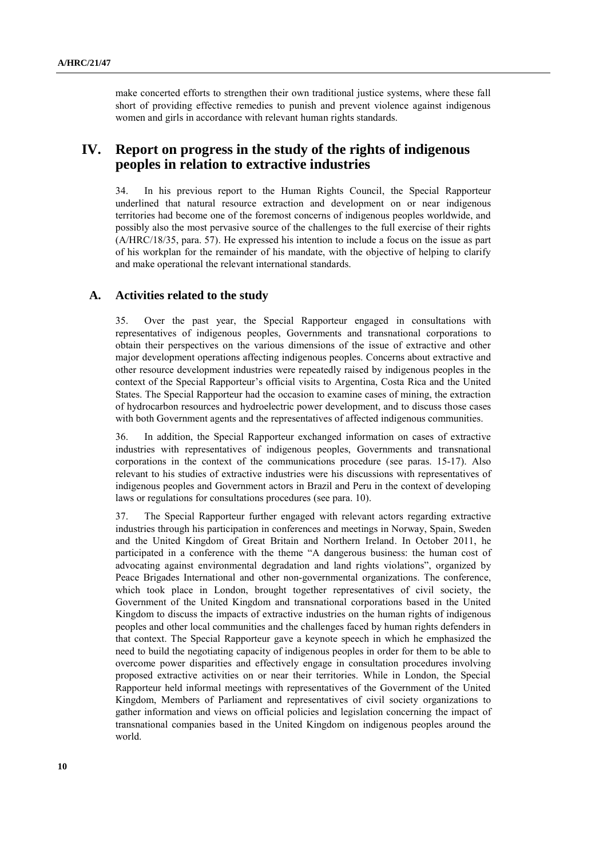make concerted efforts to strengthen their own traditional justice systems, where these fall short of providing effective remedies to punish and prevent violence against indigenous women and girls in accordance with relevant human rights standards.

# **IV. Report on progress in the study of the rights of indigenous peoples in relation to extractive industries**

34. In his previous report to the Human Rights Council, the Special Rapporteur underlined that natural resource extraction and development on or near indigenous territories had become one of the foremost concerns of indigenous peoples worldwide, and possibly also the most pervasive source of the challenges to the full exercise of their rights (A/HRC/18/35, para. 57). He expressed his intention to include a focus on the issue as part of his workplan for the remainder of his mandate, with the objective of helping to clarify and make operational the relevant international standards.

# **A. Activities related to the study**

35. Over the past year, the Special Rapporteur engaged in consultations with representatives of indigenous peoples, Governments and transnational corporations to obtain their perspectives on the various dimensions of the issue of extractive and other major development operations affecting indigenous peoples. Concerns about extractive and other resource development industries were repeatedly raised by indigenous peoples in the context of the Special Rapporteur's official visits to Argentina, Costa Rica and the United States. The Special Rapporteur had the occasion to examine cases of mining, the extraction of hydrocarbon resources and hydroelectric power development, and to discuss those cases with both Government agents and the representatives of affected indigenous communities.

36. In addition, the Special Rapporteur exchanged information on cases of extractive industries with representatives of indigenous peoples, Governments and transnational corporations in the context of the communications procedure (see paras. 15-17). Also relevant to his studies of extractive industries were his discussions with representatives of indigenous peoples and Government actors in Brazil and Peru in the context of developing laws or regulations for consultations procedures (see para. 10).

37. The Special Rapporteur further engaged with relevant actors regarding extractive industries through his participation in conferences and meetings in Norway, Spain, Sweden and the United Kingdom of Great Britain and Northern Ireland. In October 2011, he participated in a conference with the theme "A dangerous business: the human cost of advocating against environmental degradation and land rights violations", organized by Peace Brigades International and other non-governmental organizations. The conference, which took place in London, brought together representatives of civil society, the Government of the United Kingdom and transnational corporations based in the United Kingdom to discuss the impacts of extractive industries on the human rights of indigenous peoples and other local communities and the challenges faced by human rights defenders in that context. The Special Rapporteur gave a keynote speech in which he emphasized the need to build the negotiating capacity of indigenous peoples in order for them to be able to overcome power disparities and effectively engage in consultation procedures involving proposed extractive activities on or near their territories. While in London, the Special Rapporteur held informal meetings with representatives of the Government of the United Kingdom, Members of Parliament and representatives of civil society organizations to gather information and views on official policies and legislation concerning the impact of transnational companies based in the United Kingdom on indigenous peoples around the world.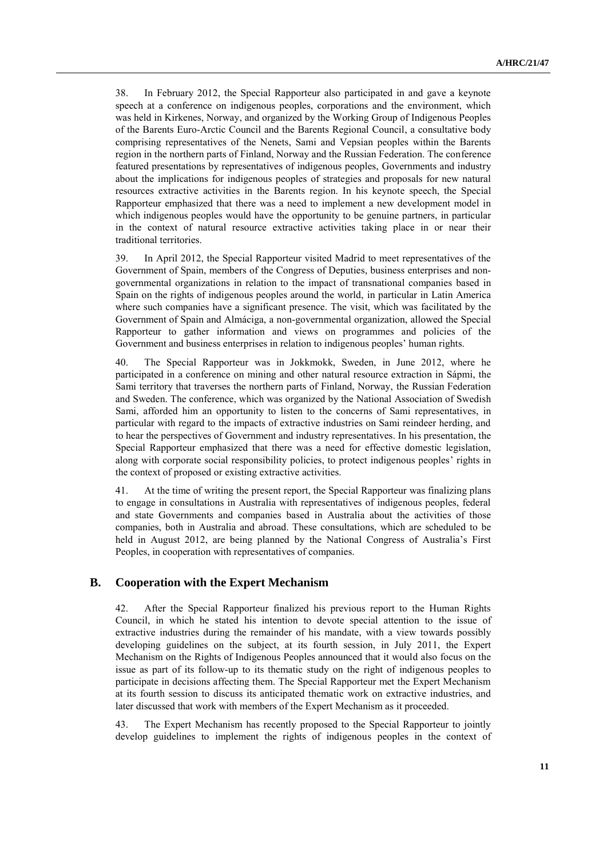38. In February 2012, the Special Rapporteur also participated in and gave a keynote speech at a conference on indigenous peoples, corporations and the environment, which was held in Kirkenes, Norway, and organized by the Working Group of Indigenous Peoples of the Barents Euro-Arctic Council and the Barents Regional Council, a consultative body comprising representatives of the Nenets, Sami and Vepsian peoples within the Barents region in the northern parts of Finland, Norway and the Russian Federation. The conference featured presentations by representatives of indigenous peoples, Governments and industry about the implications for indigenous peoples of strategies and proposals for new natural resources extractive activities in the Barents region. In his keynote speech, the Special Rapporteur emphasized that there was a need to implement a new development model in which indigenous peoples would have the opportunity to be genuine partners, in particular in the context of natural resource extractive activities taking place in or near their traditional territories.

39. In April 2012, the Special Rapporteur visited Madrid to meet representatives of the Government of Spain, members of the Congress of Deputies, business enterprises and nongovernmental organizations in relation to the impact of transnational companies based in Spain on the rights of indigenous peoples around the world, in particular in Latin America where such companies have a significant presence. The visit, which was facilitated by the Government of Spain and Almáciga, a non-governmental organization, allowed the Special Rapporteur to gather information and views on programmes and policies of the Government and business enterprises in relation to indigenous peoples' human rights.

40. The Special Rapporteur was in Jokkmokk, Sweden, in June 2012, where he participated in a conference on mining and other natural resource extraction in Sápmi, the Sami territory that traverses the northern parts of Finland, Norway, the Russian Federation and Sweden. The conference, which was organized by the National Association of Swedish Sami, afforded him an opportunity to listen to the concerns of Sami representatives, in particular with regard to the impacts of extractive industries on Sami reindeer herding, and to hear the perspectives of Government and industry representatives. In his presentation, the Special Rapporteur emphasized that there was a need for effective domestic legislation, along with corporate social responsibility policies, to protect indigenous peoples' rights in the context of proposed or existing extractive activities.

41. At the time of writing the present report, the Special Rapporteur was finalizing plans to engage in consultations in Australia with representatives of indigenous peoples, federal and state Governments and companies based in Australia about the activities of those companies, both in Australia and abroad. These consultations, which are scheduled to be held in August 2012, are being planned by the National Congress of Australia's First Peoples, in cooperation with representatives of companies.

### **B. Cooperation with the Expert Mechanism**

42. After the Special Rapporteur finalized his previous report to the Human Rights Council, in which he stated his intention to devote special attention to the issue of extractive industries during the remainder of his mandate, with a view towards possibly developing guidelines on the subject, at its fourth session, in July 2011, the Expert Mechanism on the Rights of Indigenous Peoples announced that it would also focus on the issue as part of its follow-up to its thematic study on the right of indigenous peoples to participate in decisions affecting them. The Special Rapporteur met the Expert Mechanism at its fourth session to discuss its anticipated thematic work on extractive industries, and later discussed that work with members of the Expert Mechanism as it proceeded.

43. The Expert Mechanism has recently proposed to the Special Rapporteur to jointly develop guidelines to implement the rights of indigenous peoples in the context of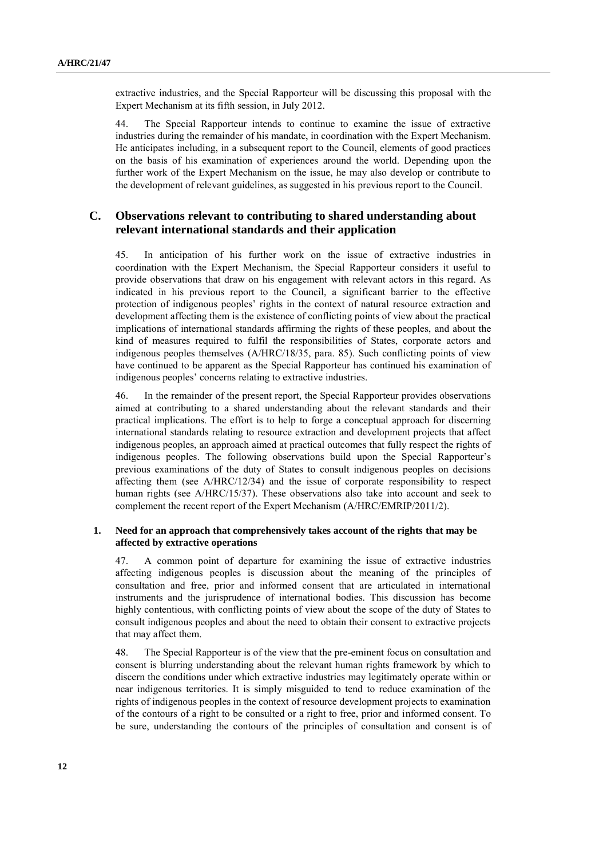extractive industries, and the Special Rapporteur will be discussing this proposal with the Expert Mechanism at its fifth session, in July 2012.

44. The Special Rapporteur intends to continue to examine the issue of extractive industries during the remainder of his mandate, in coordination with the Expert Mechanism. He anticipates including, in a subsequent report to the Council, elements of good practices on the basis of his examination of experiences around the world. Depending upon the further work of the Expert Mechanism on the issue, he may also develop or contribute to the development of relevant guidelines, as suggested in his previous report to the Council.

# **C. Observations relevant to contributing to shared understanding about relevant international standards and their application**

45. In anticipation of his further work on the issue of extractive industries in coordination with the Expert Mechanism, the Special Rapporteur considers it useful to provide observations that draw on his engagement with relevant actors in this regard. As indicated in his previous report to the Council, a significant barrier to the effective protection of indigenous peoples' rights in the context of natural resource extraction and development affecting them is the existence of conflicting points of view about the practical implications of international standards affirming the rights of these peoples, and about the kind of measures required to fulfil the responsibilities of States, corporate actors and indigenous peoples themselves (A/HRC/18/35, para. 85). Such conflicting points of view have continued to be apparent as the Special Rapporteur has continued his examination of indigenous peoples' concerns relating to extractive industries.

46. In the remainder of the present report, the Special Rapporteur provides observations aimed at contributing to a shared understanding about the relevant standards and their practical implications. The effort is to help to forge a conceptual approach for discerning international standards relating to resource extraction and development projects that affect indigenous peoples, an approach aimed at practical outcomes that fully respect the rights of indigenous peoples. The following observations build upon the Special Rapporteur's previous examinations of the duty of States to consult indigenous peoples on decisions affecting them (see A/HRC/12/34) and the issue of corporate responsibility to respect human rights (see A/HRC/15/37). These observations also take into account and seek to complement the recent report of the Expert Mechanism (A/HRC/EMRIP/2011/2).

### **1. Need for an approach that comprehensively takes account of the rights that may be affected by extractive operations**

47. A common point of departure for examining the issue of extractive industries affecting indigenous peoples is discussion about the meaning of the principles of consultation and free, prior and informed consent that are articulated in international instruments and the jurisprudence of international bodies. This discussion has become highly contentious, with conflicting points of view about the scope of the duty of States to consult indigenous peoples and about the need to obtain their consent to extractive projects that may affect them.

48. The Special Rapporteur is of the view that the pre-eminent focus on consultation and consent is blurring understanding about the relevant human rights framework by which to discern the conditions under which extractive industries may legitimately operate within or near indigenous territories. It is simply misguided to tend to reduce examination of the rights of indigenous peoples in the context of resource development projects to examination of the contours of a right to be consulted or a right to free, prior and informed consent. To be sure, understanding the contours of the principles of consultation and consent is of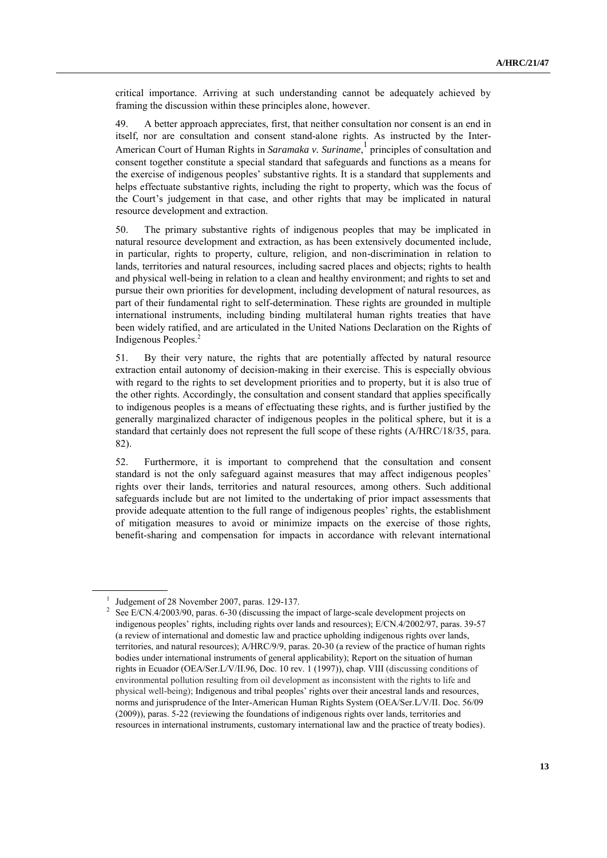critical importance. Arriving at such understanding cannot be adequately achieved by framing the discussion within these principles alone, however.

49. A better approach appreciates, first, that neither consultation nor consent is an end in itself, nor are consultation and consent stand-alone rights. As instructed by the Inter-American Court of Human Rights in *Saramaka v. Suriname*, 1 principles of consultation and consent together constitute a special standard that safeguards and functions as a means for the exercise of indigenous peoples' substantive rights. It is a standard that supplements and helps effectuate substantive rights, including the right to property, which was the focus of the Court's judgement in that case, and other rights that may be implicated in natural resource development and extraction.

50. The primary substantive rights of indigenous peoples that may be implicated in natural resource development and extraction, as has been extensively documented include, in particular, rights to property, culture, religion, and non-discrimination in relation to lands, territories and natural resources, including sacred places and objects; rights to health and physical well-being in relation to a clean and healthy environment; and rights to set and pursue their own priorities for development, including development of natural resources, as part of their fundamental right to self-determination. These rights are grounded in multiple international instruments, including binding multilateral human rights treaties that have been widely ratified, and are articulated in the United Nations Declaration on the Rights of Indigenous Peoples.<sup>2</sup>

51. By their very nature, the rights that are potentially affected by natural resource extraction entail autonomy of decision-making in their exercise. This is especially obvious with regard to the rights to set development priorities and to property, but it is also true of the other rights. Accordingly, the consultation and consent standard that applies specifically to indigenous peoples is a means of effectuating these rights, and is further justified by the generally marginalized character of indigenous peoples in the political sphere, but it is a standard that certainly does not represent the full scope of these rights (A/HRC/18/35, para. 82).

52. Furthermore, it is important to comprehend that the consultation and consent standard is not the only safeguard against measures that may affect indigenous peoples' rights over their lands, territories and natural resources, among others. Such additional safeguards include but are not limited to the undertaking of prior impact assessments that provide adequate attention to the full range of indigenous peoples' rights, the establishment of mitigation measures to avoid or minimize impacts on the exercise of those rights, benefit-sharing and compensation for impacts in accordance with relevant international

<sup>1</sup> Judgement of 28 November 2007, paras. 129-137.

<sup>2</sup> See E/CN.4/2003/90, paras. 6-30 (discussing the impact of large-scale development projects on indigenous peoples' rights, including rights over lands and resources); E/CN.4/2002/97, paras. 39-57 (a review of international and domestic law and practice upholding indigenous rights over lands, territories, and natural resources); A/HRC/9/9, paras. 20-30 (a review of the practice of human rights bodies under international instruments of general applicability); Report on the situation of human rights in Ecuador (OEA/Ser.L/V/II.96, Doc. 10 rev. 1 (1997)), chap. VIII (discussing conditions of environmental pollution resulting from oil development as inconsistent with the rights to life and physical well-being); Indigenous and tribal peoples' rights over their ancestral lands and resources, norms and jurisprudence of the Inter-American Human Rights System (OEA/Ser.L/V/II. Doc. 56/09 (2009)), paras. 5-22 (reviewing the foundations of indigenous rights over lands, territories and resources in international instruments, customary international law and the practice of treaty bodies).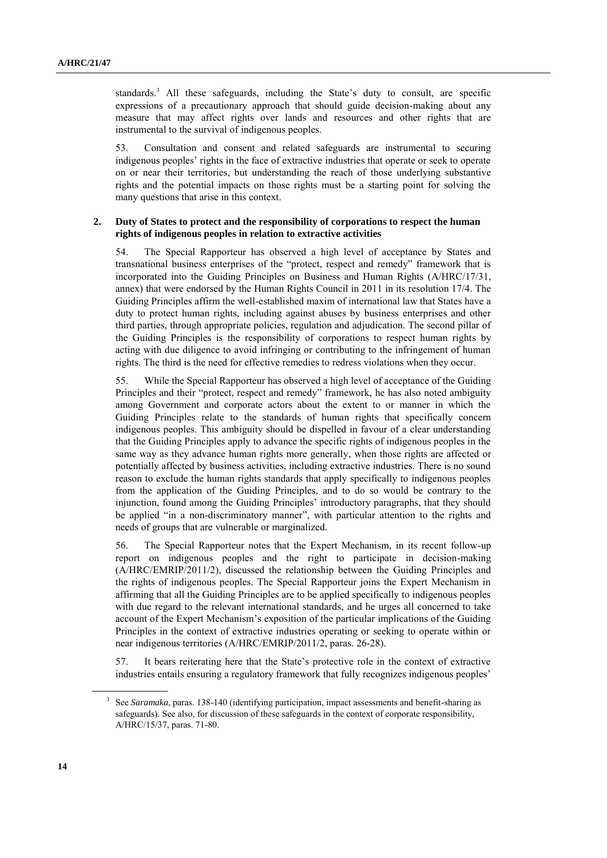standards.<sup>3</sup> All these safeguards, including the State's duty to consult, are specific expressions of a precautionary approach that should guide decision-making about any measure that may affect rights over lands and resources and other rights that are instrumental to the survival of indigenous peoples.

53. Consultation and consent and related safeguards are instrumental to securing indigenous peoples' rights in the face of extractive industries that operate or seek to operate on or near their territories, but understanding the reach of those underlying substantive rights and the potential impacts on those rights must be a starting point for solving the many questions that arise in this context.

### **2. Duty of States to protect and the responsibility of corporations to respect the human rights of indigenous peoples in relation to extractive activities**

54. The Special Rapporteur has observed a high level of acceptance by States and transnational business enterprises of the "protect, respect and remedy" framework that is incorporated into the Guiding Principles on Business and Human Rights (A/HRC/17/31, annex) that were endorsed by the Human Rights Council in 2011 in its resolution 17/4. The Guiding Principles affirm the well-established maxim of international law that States have a duty to protect human rights, including against abuses by business enterprises and other third parties, through appropriate policies, regulation and adjudication. The second pillar of the Guiding Principles is the responsibility of corporations to respect human rights by acting with due diligence to avoid infringing or contributing to the infringement of human rights. The third is the need for effective remedies to redress violations when they occur.

55. While the Special Rapporteur has observed a high level of acceptance of the Guiding Principles and their "protect, respect and remedy" framework, he has also noted ambiguity among Government and corporate actors about the extent to or manner in which the Guiding Principles relate to the standards of human rights that specifically concern indigenous peoples. This ambiguity should be dispelled in favour of a clear understanding that the Guiding Principles apply to advance the specific rights of indigenous peoples in the same way as they advance human rights more generally, when those rights are affected or potentially affected by business activities, including extractive industries. There is no sound reason to exclude the human rights standards that apply specifically to indigenous peoples from the application of the Guiding Principles, and to do so would be contrary to the injunction, found among the Guiding Principles' introductory paragraphs, that they should be applied "in a non-discriminatory manner", with particular attention to the rights and needs of groups that are vulnerable or marginalized.

56. The Special Rapporteur notes that the Expert Mechanism, in its recent follow-up report on indigenous peoples and the right to participate in decision-making (A/HRC/EMRIP/2011/2), discussed the relationship between the Guiding Principles and the rights of indigenous peoples. The Special Rapporteur joins the Expert Mechanism in affirming that all the Guiding Principles are to be applied specifically to indigenous peoples with due regard to the relevant international standards, and he urges all concerned to take account of the Expert Mechanism's exposition of the particular implications of the Guiding Principles in the context of extractive industries operating or seeking to operate within or near indigenous territories (A/HRC/EMRIP/2011/2, paras. 26-28).

57. It bears reiterating here that the State's protective role in the context of extractive industries entails ensuring a regulatory framework that fully recognizes indigenous peoples'

<sup>3</sup> See *Saramaka*, paras. 138-140 (identifying participation, impact assessments and benefit-sharing as safeguards). See also, for discussion of these safeguards in the context of corporate responsibility, A/HRC/15/37, paras. 71-80.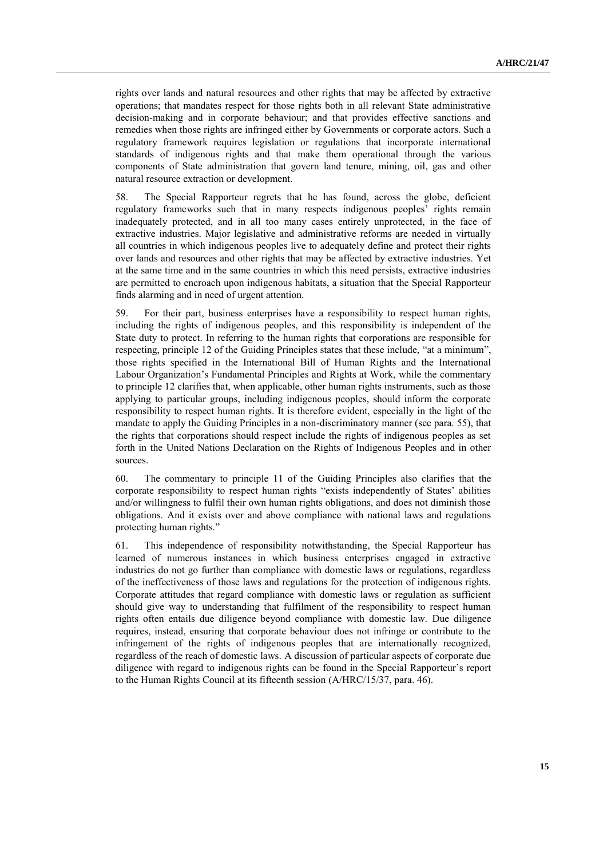rights over lands and natural resources and other rights that may be affected by extractive operations; that mandates respect for those rights both in all relevant State administrative decision-making and in corporate behaviour; and that provides effective sanctions and remedies when those rights are infringed either by Governments or corporate actors. Such a regulatory framework requires legislation or regulations that incorporate international standards of indigenous rights and that make them operational through the various components of State administration that govern land tenure, mining, oil, gas and other natural resource extraction or development.

58. The Special Rapporteur regrets that he has found, across the globe, deficient regulatory frameworks such that in many respects indigenous peoples' rights remain inadequately protected, and in all too many cases entirely unprotected, in the face of extractive industries. Major legislative and administrative reforms are needed in virtually all countries in which indigenous peoples live to adequately define and protect their rights over lands and resources and other rights that may be affected by extractive industries. Yet at the same time and in the same countries in which this need persists, extractive industries are permitted to encroach upon indigenous habitats, a situation that the Special Rapporteur finds alarming and in need of urgent attention.

59. For their part, business enterprises have a responsibility to respect human rights, including the rights of indigenous peoples, and this responsibility is independent of the State duty to protect. In referring to the human rights that corporations are responsible for respecting, principle 12 of the Guiding Principles states that these include, "at a minimum", those rights specified in the International Bill of Human Rights and the International Labour Organization's Fundamental Principles and Rights at Work, while the commentary to principle 12 clarifies that, when applicable, other human rights instruments, such as those applying to particular groups, including indigenous peoples, should inform the corporate responsibility to respect human rights. It is therefore evident, especially in the light of the mandate to apply the Guiding Principles in a non-discriminatory manner (see para. 55), that the rights that corporations should respect include the rights of indigenous peoples as set forth in the United Nations Declaration on the Rights of Indigenous Peoples and in other sources.

60. The commentary to principle 11 of the Guiding Principles also clarifies that the corporate responsibility to respect human rights "exists independently of States' abilities and/or willingness to fulfil their own human rights obligations, and does not diminish those obligations. And it exists over and above compliance with national laws and regulations protecting human rights."

61. This independence of responsibility notwithstanding, the Special Rapporteur has learned of numerous instances in which business enterprises engaged in extractive industries do not go further than compliance with domestic laws or regulations, regardless of the ineffectiveness of those laws and regulations for the protection of indigenous rights. Corporate attitudes that regard compliance with domestic laws or regulation as sufficient should give way to understanding that fulfilment of the responsibility to respect human rights often entails due diligence beyond compliance with domestic law. Due diligence requires, instead, ensuring that corporate behaviour does not infringe or contribute to the infringement of the rights of indigenous peoples that are internationally recognized, regardless of the reach of domestic laws. A discussion of particular aspects of corporate due diligence with regard to indigenous rights can be found in the Special Rapporteur's report to the Human Rights Council at its fifteenth session (A/HRC/15/37, para. 46).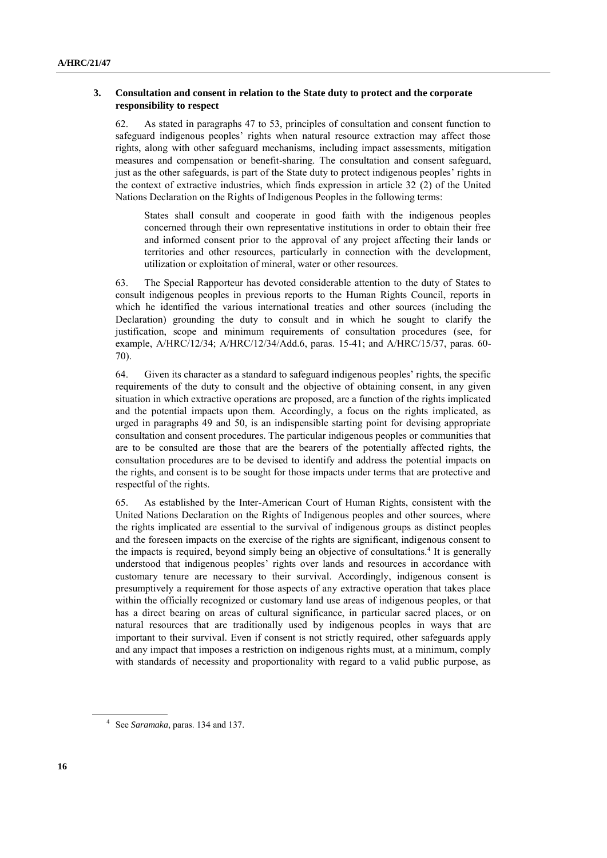### **3. Consultation and consent in relation to the State duty to protect and the corporate responsibility to respect**

62. As stated in paragraphs 47 to 53, principles of consultation and consent function to safeguard indigenous peoples' rights when natural resource extraction may affect those rights, along with other safeguard mechanisms, including impact assessments, mitigation measures and compensation or benefit-sharing. The consultation and consent safeguard, just as the other safeguards, is part of the State duty to protect indigenous peoples' rights in the context of extractive industries, which finds expression in article 32 (2) of the United Nations Declaration on the Rights of Indigenous Peoples in the following terms:

States shall consult and cooperate in good faith with the indigenous peoples concerned through their own representative institutions in order to obtain their free and informed consent prior to the approval of any project affecting their lands or territories and other resources, particularly in connection with the development, utilization or exploitation of mineral, water or other resources.

63. The Special Rapporteur has devoted considerable attention to the duty of States to consult indigenous peoples in previous reports to the Human Rights Council, reports in which he identified the various international treaties and other sources (including the Declaration) grounding the duty to consult and in which he sought to clarify the justification, scope and minimum requirements of consultation procedures (see, for example, A/HRC/12/34; A/HRC/12/34/Add.6, paras. 15-41; and A/HRC/15/37, paras. 60- 70).

64. Given its character as a standard to safeguard indigenous peoples' rights, the specific requirements of the duty to consult and the objective of obtaining consent, in any given situation in which extractive operations are proposed, are a function of the rights implicated and the potential impacts upon them. Accordingly, a focus on the rights implicated, as urged in paragraphs 49 and 50, is an indispensible starting point for devising appropriate consultation and consent procedures. The particular indigenous peoples or communities that are to be consulted are those that are the bearers of the potentially affected rights, the consultation procedures are to be devised to identify and address the potential impacts on the rights, and consent is to be sought for those impacts under terms that are protective and respectful of the rights.

65. As established by the Inter-American Court of Human Rights, consistent with the United Nations Declaration on the Rights of Indigenous peoples and other sources, where the rights implicated are essential to the survival of indigenous groups as distinct peoples and the foreseen impacts on the exercise of the rights are significant, indigenous consent to the impacts is required, beyond simply being an objective of consultations.<sup>4</sup> It is generally understood that indigenous peoples' rights over lands and resources in accordance with customary tenure are necessary to their survival. Accordingly, indigenous consent is presumptively a requirement for those aspects of any extractive operation that takes place within the officially recognized or customary land use areas of indigenous peoples, or that has a direct bearing on areas of cultural significance, in particular sacred places, or on natural resources that are traditionally used by indigenous peoples in ways that are important to their survival. Even if consent is not strictly required, other safeguards apply and any impact that imposes a restriction on indigenous rights must, at a minimum, comply with standards of necessity and proportionality with regard to a valid public purpose, as

<sup>4</sup> See *Saramaka*, paras. 134 and 137.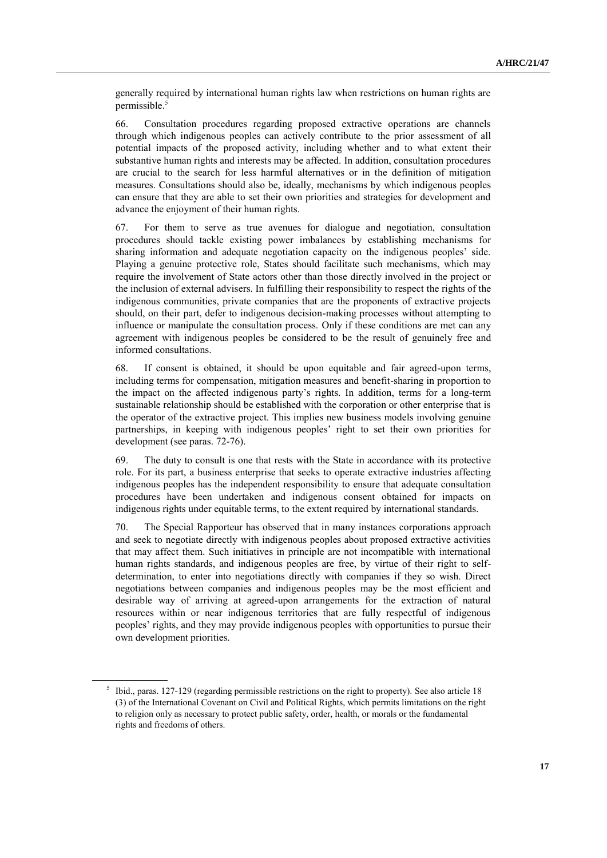generally required by international human rights law when restrictions on human rights are permissible.<sup>5</sup>

66. Consultation procedures regarding proposed extractive operations are channels through which indigenous peoples can actively contribute to the prior assessment of all potential impacts of the proposed activity, including whether and to what extent their substantive human rights and interests may be affected. In addition, consultation procedures are crucial to the search for less harmful alternatives or in the definition of mitigation measures. Consultations should also be, ideally, mechanisms by which indigenous peoples can ensure that they are able to set their own priorities and strategies for development and advance the enjoyment of their human rights.

67. For them to serve as true avenues for dialogue and negotiation, consultation procedures should tackle existing power imbalances by establishing mechanisms for sharing information and adequate negotiation capacity on the indigenous peoples' side. Playing a genuine protective role, States should facilitate such mechanisms, which may require the involvement of State actors other than those directly involved in the project or the inclusion of external advisers. In fulfilling their responsibility to respect the rights of the indigenous communities, private companies that are the proponents of extractive projects should, on their part, defer to indigenous decision-making processes without attempting to influence or manipulate the consultation process. Only if these conditions are met can any agreement with indigenous peoples be considered to be the result of genuinely free and informed consultations.

68. If consent is obtained, it should be upon equitable and fair agreed-upon terms, including terms for compensation, mitigation measures and benefit-sharing in proportion to the impact on the affected indigenous party's rights. In addition, terms for a long-term sustainable relationship should be established with the corporation or other enterprise that is the operator of the extractive project. This implies new business models involving genuine partnerships, in keeping with indigenous peoples' right to set their own priorities for development (see paras. 72-76).

69. The duty to consult is one that rests with the State in accordance with its protective role. For its part, a business enterprise that seeks to operate extractive industries affecting indigenous peoples has the independent responsibility to ensure that adequate consultation procedures have been undertaken and indigenous consent obtained for impacts on indigenous rights under equitable terms, to the extent required by international standards.

70. The Special Rapporteur has observed that in many instances corporations approach and seek to negotiate directly with indigenous peoples about proposed extractive activities that may affect them. Such initiatives in principle are not incompatible with international human rights standards, and indigenous peoples are free, by virtue of their right to selfdetermination, to enter into negotiations directly with companies if they so wish. Direct negotiations between companies and indigenous peoples may be the most efficient and desirable way of arriving at agreed-upon arrangements for the extraction of natural resources within or near indigenous territories that are fully respectful of indigenous peoples' rights, and they may provide indigenous peoples with opportunities to pursue their own development priorities.

<sup>&</sup>lt;sup>5</sup> Ibid., paras. 127-129 (regarding permissible restrictions on the right to property). See also article 18 (3) of the International Covenant on Civil and Political Rights, which permits limitations on the right to religion only as necessary to protect public safety, order, health, or morals or the fundamental rights and freedoms of others.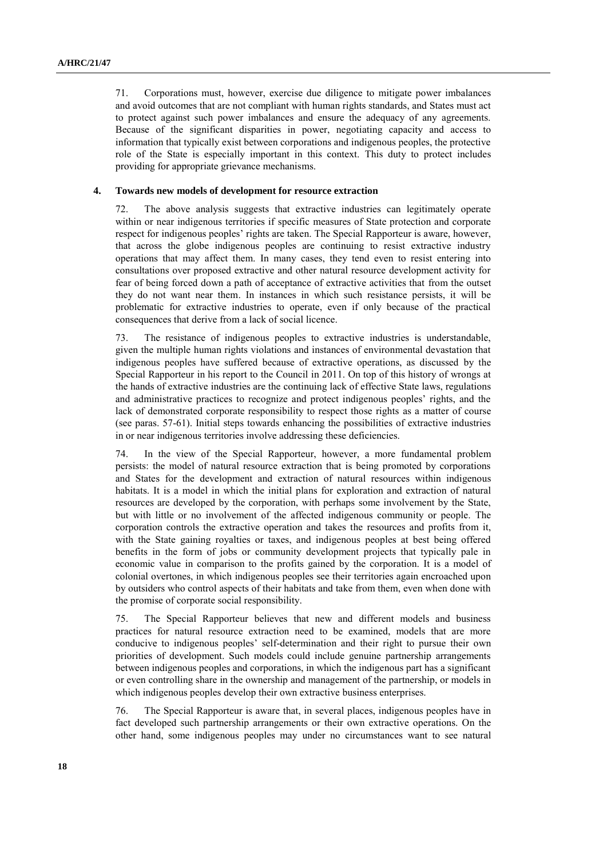71. Corporations must, however, exercise due diligence to mitigate power imbalances and avoid outcomes that are not compliant with human rights standards, and States must act to protect against such power imbalances and ensure the adequacy of any agreements. Because of the significant disparities in power, negotiating capacity and access to information that typically exist between corporations and indigenous peoples, the protective role of the State is especially important in this context. This duty to protect includes providing for appropriate grievance mechanisms.

#### **4. Towards new models of development for resource extraction**

72. The above analysis suggests that extractive industries can legitimately operate within or near indigenous territories if specific measures of State protection and corporate respect for indigenous peoples' rights are taken. The Special Rapporteur is aware, however, that across the globe indigenous peoples are continuing to resist extractive industry operations that may affect them. In many cases, they tend even to resist entering into consultations over proposed extractive and other natural resource development activity for fear of being forced down a path of acceptance of extractive activities that from the outset they do not want near them. In instances in which such resistance persists, it will be problematic for extractive industries to operate, even if only because of the practical consequences that derive from a lack of social licence.

73. The resistance of indigenous peoples to extractive industries is understandable, given the multiple human rights violations and instances of environmental devastation that indigenous peoples have suffered because of extractive operations, as discussed by the Special Rapporteur in his report to the Council in 2011. On top of this history of wrongs at the hands of extractive industries are the continuing lack of effective State laws, regulations and administrative practices to recognize and protect indigenous peoples' rights, and the lack of demonstrated corporate responsibility to respect those rights as a matter of course (see paras. 57-61). Initial steps towards enhancing the possibilities of extractive industries in or near indigenous territories involve addressing these deficiencies.

74. In the view of the Special Rapporteur, however, a more fundamental problem persists: the model of natural resource extraction that is being promoted by corporations and States for the development and extraction of natural resources within indigenous habitats. It is a model in which the initial plans for exploration and extraction of natural resources are developed by the corporation, with perhaps some involvement by the State, but with little or no involvement of the affected indigenous community or people. The corporation controls the extractive operation and takes the resources and profits from it, with the State gaining royalties or taxes, and indigenous peoples at best being offered benefits in the form of jobs or community development projects that typically pale in economic value in comparison to the profits gained by the corporation. It is a model of colonial overtones, in which indigenous peoples see their territories again encroached upon by outsiders who control aspects of their habitats and take from them, even when done with the promise of corporate social responsibility.

75. The Special Rapporteur believes that new and different models and business practices for natural resource extraction need to be examined, models that are more conducive to indigenous peoples' self-determination and their right to pursue their own priorities of development. Such models could include genuine partnership arrangements between indigenous peoples and corporations, in which the indigenous part has a significant or even controlling share in the ownership and management of the partnership, or models in which indigenous peoples develop their own extractive business enterprises.

76. The Special Rapporteur is aware that, in several places, indigenous peoples have in fact developed such partnership arrangements or their own extractive operations. On the other hand, some indigenous peoples may under no circumstances want to see natural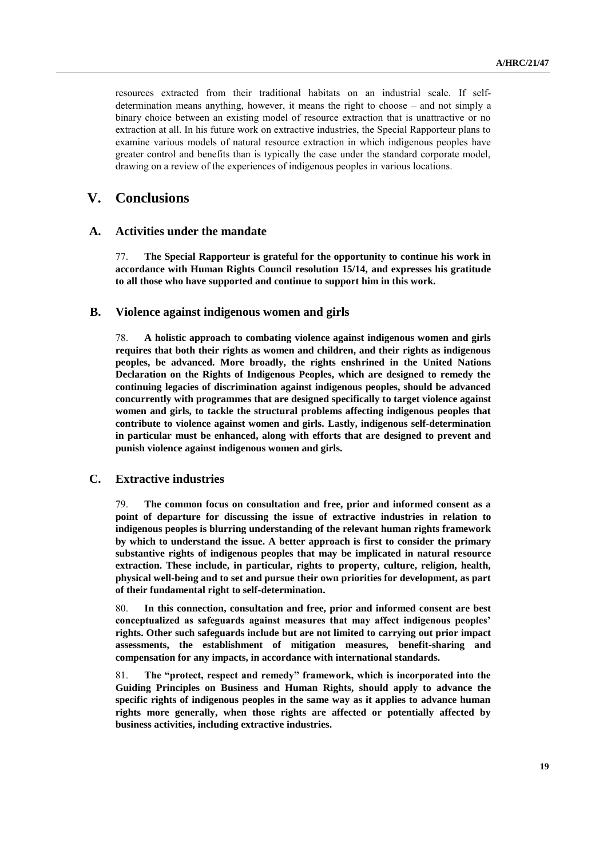resources extracted from their traditional habitats on an industrial scale. If selfdetermination means anything, however, it means the right to choose – and not simply a binary choice between an existing model of resource extraction that is unattractive or no extraction at all. In his future work on extractive industries, the Special Rapporteur plans to examine various models of natural resource extraction in which indigenous peoples have greater control and benefits than is typically the case under the standard corporate model, drawing on a review of the experiences of indigenous peoples in various locations.

# **V. Conclusions**

### **A. Activities under the mandate**

77. **The Special Rapporteur is grateful for the opportunity to continue his work in accordance with Human Rights Council resolution 15/14, and expresses his gratitude to all those who have supported and continue to support him in this work.** 

#### **B. Violence against indigenous women and girls**

78. **A holistic approach to combating violence against indigenous women and girls requires that both their rights as women and children, and their rights as indigenous peoples, be advanced. More broadly, the rights enshrined in the United Nations Declaration on the Rights of Indigenous Peoples, which are designed to remedy the continuing legacies of discrimination against indigenous peoples, should be advanced concurrently with programmes that are designed specifically to target violence against women and girls, to tackle the structural problems affecting indigenous peoples that contribute to violence against women and girls. Lastly, indigenous self-determination in particular must be enhanced, along with efforts that are designed to prevent and punish violence against indigenous women and girls.**

#### **C. Extractive industries**

79. **The common focus on consultation and free, prior and informed consent as a point of departure for discussing the issue of extractive industries in relation to indigenous peoples is blurring understanding of the relevant human rights framework by which to understand the issue. A better approach is first to consider the primary substantive rights of indigenous peoples that may be implicated in natural resource extraction. These include, in particular, rights to property, culture, religion, health, physical well-being and to set and pursue their own priorities for development, as part of their fundamental right to self-determination.**

80. **In this connection, consultation and free, prior and informed consent are best conceptualized as safeguards against measures that may affect indigenous peoples' rights. Other such safeguards include but are not limited to carrying out prior impact assessments, the establishment of mitigation measures, benefit-sharing and compensation for any impacts, in accordance with international standards.** 

81. **The "protect, respect and remedy" framework, which is incorporated into the Guiding Principles on Business and Human Rights, should apply to advance the specific rights of indigenous peoples in the same way as it applies to advance human rights more generally, when those rights are affected or potentially affected by business activities, including extractive industries.**